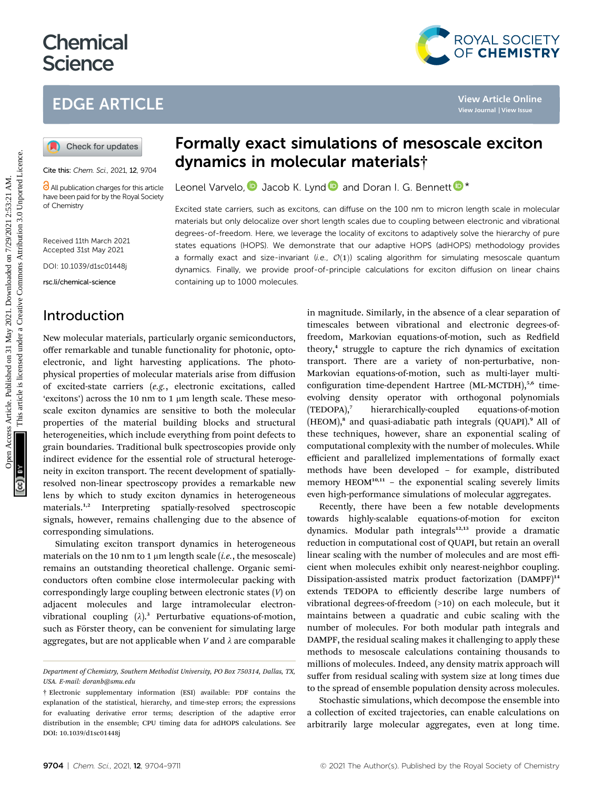# **Chemical Science**

## EDGE ARTICLE

Cite this: Chem. Sci., 2021, 12, 9704

**C** All publication charges for this article have been paid for by the Royal Society of Chemistry

Received 11th March 2021 Accepted 31st May 2021

DOI: 10.1039/d1sc01448j

rsc.li/chemical-science

### Introduction

New molecular materials, particularly organic semiconductors, offer remarkable and tunable functionality for photonic, optoelectronic, and light harvesting applications. The photophysical properties of molecular materials arise from diffusion of excited-state carriers (e.g., electronic excitations, called 'excitons') across the 10 nm to 1  $\mu$ m length scale. These mesoscale exciton dynamics are sensitive to both the molecular properties of the material building blocks and structural heterogeneities, which include everything from point defects to grain boundaries. Traditional bulk spectroscopies provide only indirect evidence for the essential role of structural heterogeneity in exciton transport. The recent development of spatiallyresolved non-linear spectroscopy provides a remarkable new lens by which to study exciton dynamics in heterogeneous materials.<sup>1,2</sup> Interpreting spatially-resolved spectroscopic signals, however, remains challenging due to the absence of corresponding simulations.

Simulating exciton transport dynamics in heterogeneous materials on the 10 nm to 1  $\mu$ m length scale (*i.e.*, the mesoscale) remains an outstanding theoretical challenge. Organic semiconductors often combine close intermolecular packing with correspondingly large coupling between electronic states (V) on adjacent molecules and large intramolecular electronvibrational coupling  $(\lambda)$ .<sup>3</sup> Perturbative equations-of-motion, such as Förster theory, can be convenient for simulating large aggregates, but are not applicable when  $V$  and  $\lambda$  are comparable

## Formally exact simulations of mesoscale exciton dynamics in molecular materials†

Leonel Varvelo[,](http://orcid.org/0000-0002-2013-1177)  $\bullet$  $\bullet$  Jacob K. Lyn[d](http://orcid.org/0000-0002-0762-8584)  $\bullet$  and Doran I. G. Bennett  $\bullet^*$ 

Excited state carriers, such as excitons, can diffuse on the 100 nm to micron length scale in molecular materials but only delocalize over short length scales due to coupling between electronic and vibrational degrees-of-freedom. Here, we leverage the locality of excitons to adaptively solve the hierarchy of pure states equations (HOPS). We demonstrate that our adaptive HOPS (adHOPS) methodology provides a formally exact and size-invariant (i.e.,  $\mathcal{O}(1)$ ) scaling algorithm for simulating mesoscale quantum dynamics. Finally, we provide proof-of-principle calculations for exciton diffusion on linear chains containing up to 1000 molecules.

in magnitude. Similarly, in the absence of a clear separation of timescales between vibrational and electronic degrees-offreedom, Markovian equations-of-motion, such as Redfield theory,<sup>4</sup> struggle to capture the rich dynamics of excitation transport. There are a variety of non-perturbative, non-Markovian equations-of-motion, such as multi-layer multiconfiguration time-dependent Hartree (ML-MCTDH),<sup>5,6</sup> timeevolving density operator with orthogonal polynomials (TEDOPA),<sup>7</sup> hierarchically-coupled equations-of-motion (HEOM),<sup>8</sup> and quasi-adiabatic path integrals (QUAPI).<sup>9</sup> All of these techniques, however, share an exponential scaling of computational complexity with the number of molecules. While efficient and parallelized implementations of formally exact methods have been developed – for example, distributed memory  $HEOM<sup>10,11</sup>$  – the exponential scaling severely limits even high-performance simulations of molecular aggregates. **EDGE ARTICLE**<br> **(a)** Check for updates **Formally exact simulations of mesoscale exciton**<br> **EXECUTE ANTIFOLATE CONTINUM CONTINUM CONTINUM CONTINUM CONTINUM CONTINUM CONTINUM CONTINUM CONTINUM CONTINUM CONTINUM CONTINUM CO** 

> Recently, there have been a few notable developments towards highly-scalable equations-of-motion for exciton dynamics. Modular path integrals<sup>12,13</sup> provide a dramatic reduction in computational cost of QUAPI, but retain an overall linear scaling with the number of molecules and are most efficient when molecules exhibit only nearest-neighbor coupling. Dissipation-assisted matrix product factorization (DAMPF)<sup>14</sup> extends TEDOPA to efficiently describe large numbers of vibrational degrees-of-freedom (>10) on each molecule, but it maintains between a quadratic and cubic scaling with the number of molecules. For both modular path integrals and DAMPF, the residual scaling makes it challenging to apply these methods to mesoscale calculations containing thousands to millions of molecules. Indeed, any density matrix approach will suffer from residual scaling with system size at long times due to the spread of ensemble population density across molecules.

> Stochastic simulations, which decompose the ensemble into a collection of excited trajectories, can enable calculations on arbitrarily large molecular aggregates, even at long time.





Department of Chemistry, Southern Methodist University, PO Box 750314, Dallas, TX, USA. E-mail: doranb@smu.edu

<sup>†</sup> Electronic supplementary information (ESI) available: PDF contains the explanation of the statistical, hierarchy, and time-step errors; the expressions for evaluating derivative error terms; description of the adaptive error distribution in the ensemble; CPU timing data for adHOPS calculations. See DOI: 10.1039/d1sc01448j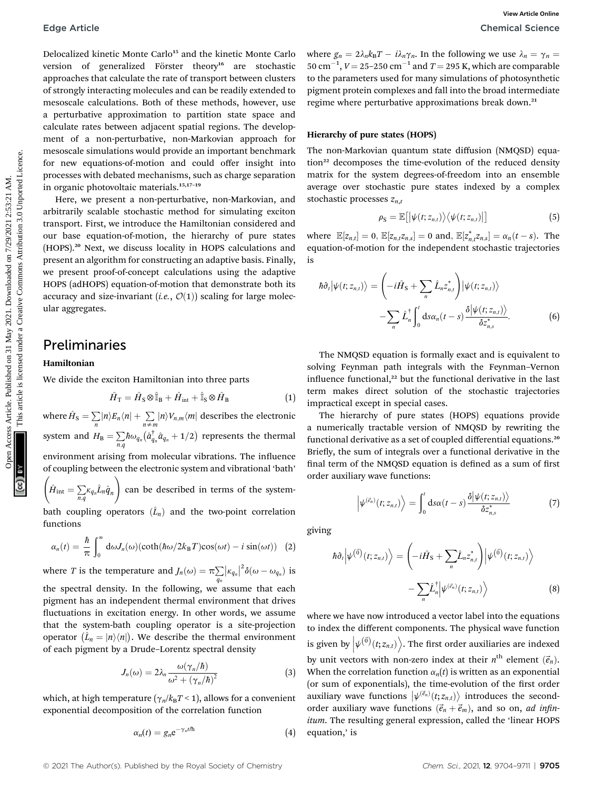Delocalized kinetic Monte Carlo<sup>15</sup> and the kinetic Monte Carlo version of generalized Förster theory<sup>16</sup> are stochastic approaches that calculate the rate of transport between clusters of strongly interacting molecules and can be readily extended to mesoscale calculations. Both of these methods, however, use a perturbative approximation to partition state space and calculate rates between adjacent spatial regions. The development of a non-perturbative, non-Markovian approach for mesoscale simulations would provide an important benchmark for new equations-of-motion and could offer insight into processes with debated mechanisms, such as charge separation in organic photovoltaic materials.15,17–<sup>19</sup> Edge Article<br>
Detectal Science<br>
Detectal Science<br>
Version of generalistic science<br>
version of generalistic science<br>
version of generalistic science<br>
or generalistic science<br>
of generalistic science<br>
of generalistic scienc

Here, we present a non-perturbative, non-Markovian, and arbitrarily scalable stochastic method for simulating exciton transport. First, we introduce the Hamiltonian considered and our base equation-of-motion, the hierarchy of pure states (HOPS).<sup>20</sup> Next, we discuss locality in HOPS calculations and present an algorithm for constructing an adaptive basis. Finally, we present proof-of-concept calculations using the adaptive HOPS (adHOPS) equation-of-motion that demonstrate both its accuracy and size-invariant (i.e.,  $\mathcal{O}(1)$ ) scaling for large molecular aggregates.

### Preliminaries

#### Hamiltonian

We divide the exciton Hamiltonian into three parts

$$
\hat{H}_{\rm T} = \hat{H}_{\rm S} \otimes \hat{\mathbb{I}}_{\rm B} + \hat{H}_{\rm int} + \hat{\mathbb{I}}_{\rm S} \otimes \hat{H}_{\rm B} \tag{1}
$$

where  $\hat{H}_{\text{S}} = \sum\limits_{n} \lvert n \rangle E_n \langle n \rvert + \sum\limits_{n \neq m} \lvert n \rangle V_{n,m} \langle m \rvert$  describes the electronic system and  $H_{\rm B} = \sum\limits_{n,q} \hbar \omega_{q_n} \big(\hat{a}^{\dagger}_{q_n} \hat{a}_{q_n} + 1/2\big)$  represents the thermal environment arising from molecular vibrations. The influence

of coupling between the electronic system and vibrational 'bath' $\left( \hat{H}_{\mathrm{int}} = \sum_{n,q} \kappa_{q_n} \hat{L}_n \hat{q}_n \right)$  $\setminus$ can be described in terms of the system-

bath coupling operators  $(\hat{L}_n)$  and the two-point correlation functions

$$
\alpha_n(t) = \frac{\hbar}{\pi} \int_0^\infty d\omega J_n(\omega) (\coth(\hbar\omega/2k_BT)\cos(\omega t) - i\sin(\omega t)) \quad (2)
$$

where *T* is the temperature and  $J_n(\omega) = \pi \sum_{q_n}$  $|\kappa_{q_n}|^2 \delta(\omega - \omega_{q_n})$  is the spectral density. In the following, we assume that each

pigment has an independent thermal environment that drives fluctuations in excitation energy. In other words, we assume that the system-bath coupling operator is a site-projection operator  $(\hat{L}_n = |n\rangle\langle n|)$ . We describe the thermal environment<br>of each pigment by a Drude Lerentz spectral density. of each pigment by a Drude–Lorentz spectral density

$$
J_n(\omega) = 2\lambda_n \frac{\omega(\gamma_n/\hbar)}{\omega^2 + (\gamma_n/\hbar)^2}
$$
 (3)

which, at high temperature ( $\gamma_n/k_BT < 1$ ), allows for a convenient exponential decomposition of the correlation function

$$
\alpha_n(t) = g_n e^{-\gamma_n t/\hbar} \tag{4}
$$

where  $g_n = 2\lambda_n k_B T - i\lambda_n \gamma_n$ . In the following we use  $\lambda_n = \gamma_n = 50$  cm<sup>-1</sup>  $V = 25.350$  cm<sup>-1</sup> and  $T = 205$  K which are comparable  $50 \text{ cm}^{-1}$ ,  $V = 25{\text{--}}250 \text{ cm}^{-1}$  and  $T = 295 \text{ K}$ , which are comparable<br>to the parameters used for many simulations of photographetic to the parameters used for many simulations of photosynthetic pigment protein complexes and fall into the broad intermediate regime where perturbative approximations break down.<sup>21</sup>

#### Hierarchy of pure states (HOPS)

The non-Markovian quantum state diffusion (NMQSD) equation<sup>22</sup> decomposes the time-evolution of the reduced density matrix for the system degrees-of-freedom into an ensemble average over stochastic pure states indexed by a complex stochastic processes  $z_{n,t}$ 

$$
\rho_{\rm S} = \mathbb{E}\big[\big|\psi(t; z_{n,t})\big\rangle\big\langle\psi(t; z_{n,t})\big|\big] \tag{5}
$$

where  $\mathbb{E}[z_{n,t}] = 0$ ,  $\mathbb{E}[z_{n,t}z_{n,s}] = 0$  and,  $\mathbb{E}[z_{n,t}^*z_{n,s}] = \alpha_n(t-s)$ . The equation-of-motion for the independent stochastic trajectories is

$$
\hbar \partial_t |\psi(t; z_{n,t})\rangle = \left(-i\hat{H}_S + \sum_n \hat{L}_n z_{n,t}^* \right) |\psi(t; z_{n,t})\rangle -\sum_n \hat{L}_n^{\dagger} \int_0^t ds \alpha_n (t-s) \frac{\delta |\psi(t; z_{n,t})\rangle}{\delta z_{n,s}^*}.
$$
 (6)

The NMQSD equation is formally exact and is equivalent to solving Feynman path integrals with the Feynman–Vernon influence functional,<sup>22</sup> but the functional derivative in the last term makes direct solution of the stochastic trajectories impractical except in special cases.

The hierarchy of pure states (HOPS) equations provide a numerically tractable version of NMQSD by rewriting the functional derivative as a set of coupled differential equations.<sup>20</sup> Briefly, the sum of integrals over a functional derivative in the final term of the NMQSD equation is defined as a sum of first order auxiliary wave functions:

$$
\left|\psi^{(\vec{e}_n)}(t;z_{n,t})\right\rangle = \int_0^t ds \alpha(t-s) \frac{\delta|\psi(t;z_{n,t})\rangle}{\delta z_{n,s}^*}
$$
(7)

giving

$$
\hbar \partial_t \left| \psi^{(\vec{0})}(t; z_{n,t}) \right\rangle = \left( -i\hat{H}_S + \sum_n \hat{L}_n z_{n,t}^* \right) \left| \psi^{(\vec{0})}(t; z_{n,t}) \right\rangle - \sum_n \hat{L}_n^{\dagger} \left| \psi^{(\vec{e}_n)}(t; z_{n,t}) \right\rangle
$$
(8)

where we have now introduced a vector label into the equations to index the different components. The physical wave function is given by  $\left|\psi^{(\vec{0})}(t; z_{n,t})\right\rangle$ . The first order auxiliaries are indexed by unit vectors with non-zero index at their  $n^{\text{th}}$  element  $(\vec{e}_n)$ . When the correlation function  $\alpha_n(t)$  is written as an exponential (or sum of exponentials), the time-evolution of the first order auxiliary wave functions  $|\psi^{(\vec{e}_n)}(t; z_{n,t})\rangle$  introduces the second-<br>order auxiliary wave functions  $(\vec{a} + \vec{a})$  and so on ad infinity order auxiliary wave functions  $(\vec{e}_n + \vec{e}_m)$ , and so on, *ad infin*itum. The resulting general expression, called the 'linear HOPS equation,' is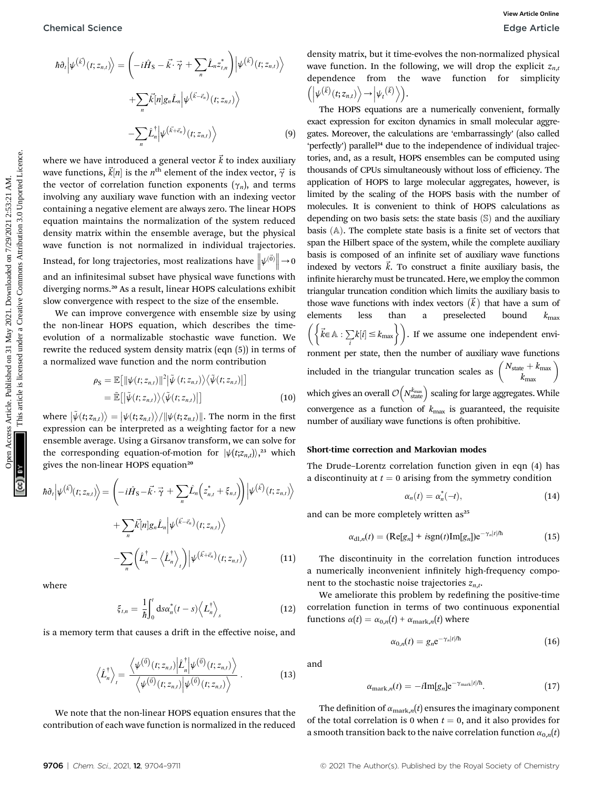$$
\hbar \partial_t \left| \psi^{(\vec{k})}(t; z_{n,t}) \right\rangle = \left( -i\hat{H}_S - \vec{k} \cdot \vec{\gamma} + \sum_n \hat{L}_n z_{t,n}^* \right) \left| \psi^{(\vec{k})}(t; z_{n,t}) \right\rangle \n+ \sum_n \vec{k}[n] g_n \hat{L}_n \left| \psi^{(\vec{k} - \vec{e}_n)}(t; z_{n,t}) \right\rangle \n- \sum_n \hat{L}_n^{\dagger} \left| \psi^{(\vec{k} + \vec{e}_n)}(t; z_{n,t}) \right\rangle
$$
\n(9)

where we have introduced a general vector  $\vec{k}$  to index auxiliary wave functions,  $\vec{k}[n]$  is the n<sup>th</sup> element of the index vector,  $\vec{\gamma}$  is<br>the vector of correlation function exponents  $(\alpha)$  and terms the vector of correlation function exponents  $(\gamma_n)$ , and terms involving any auxiliary wave function with an indexing vector containing a negative element are always zero. The linear HOPS equation maintains the normalization of the system reduced density matrix within the ensemble average, but the physical wave function is not normalized in individual trajectories. Instead, for long trajectories, most realizations have  $\Big|$  $\left\Vert \psi^{(\vec{0})}\right\Vert$  $\rightarrow 0$ and an infinitesimal subset have physical wave functions with diverging norms.<sup>20</sup> As a result, linear HOPS calculations exhibit slow convergence with respect to the size of the ensemble.

We can improve convergence with ensemble size by using the non-linear HOPS equation, which describes the timeevolution of a normalizable stochastic wave function. We rewrite the reduced system density matrix (eqn (5)) in terms of a normalized wave function and the norm contribution

$$
\rho_{\rm S} = \mathbb{E}\big[\|\psi(t; z_{n,t})\|^2 \big|\tilde{\psi}(t; z_{n,t})\big\rangle\big\langle\tilde{\psi}(t; z_{n,t})\big|\big] \n= \tilde{\mathbb{E}}\big[\big|\tilde{\psi}(t; z_{n,t})\big\rangle\big\langle\tilde{\psi}(t; z_{n,t})\big|\big]
$$
\n(10)

where  $|\tilde{\psi}(t; z_{n,t})\rangle = |\psi(t; z_{n,t})\rangle/||\psi(t; z_{n,t})||$ . The norm in the first<br>expression can be interpreted as a weighting factor for a new expression can be interpreted as a weighting factor for a new ensemble average. Using a Girsanov transform, we can solve for the corresponding equation-of-motion for  $|\psi(t; z_{n,t})\rangle^{23}$ , which gives the non-linear HOPS equation<sup>20</sup>

$$
\hbar \partial_t \left| \psi^{(\vec{k})}(t; z_{n,t}) \right\rangle = \left( -i\hat{H}_S - \vec{k} \cdot \vec{\gamma} + \sum_n \hat{L}_n \left( z_{n,t}^* + \xi_{n,t} \right) \right) \left| \psi^{(\vec{k})}(t; z_{n,t}) \right\rangle \n+ \sum_n \vec{k} [n] g_n \hat{L}_n \left| \psi^{(\vec{k} - \vec{e}_n)}(t; z_{n,t}) \right\rangle \n- \sum_n \left( \hat{L}_n^{\dagger} - \left\langle \hat{L}_n^{\dagger} \right\rangle_t \right) \left| \psi^{(\vec{k} + \vec{e}_n)}(t; z_{n,t}) \right\rangle
$$
\n(11)

where

$$
\xi_{t,n} = \frac{1}{\hbar} \int_0^t \mathrm{d}s \alpha_n^*(t-s) \left\langle L_n^{\dagger} \right\rangle_s \tag{12}
$$

is a memory term that causes a drift in the effective noise, and

$$
\left\langle \hat{L}_n^{\dagger} \right\rangle_{t} = \frac{\left\langle \psi^{(\vec{0})}(t; z_{n,t}) \middle| \hat{L}_n^{\dagger} \middle| \psi^{(\vec{0})}(t; z_{n,t}) \right\rangle}{\left\langle \psi^{(\vec{0})}(t; z_{n,t}) \middle| \psi^{(\vec{0})}(t; z_{n,t}) \right\rangle} . \tag{13}
$$

We note that the non-linear HOPS equation ensures that the contribution of each wave function is normalized in the reduced

density matrix, but it time-evolves the non-normalized physical wave function. In the following, we will drop the explicit  $z_{n,t}$ dependence from the wave function for simplicity  $\left( \left| \psi^{(\vec{k})}(t; z_{n,t}) \right\rangle \rightarrow \left| \psi_t^{(\vec{k})} \right\rangle \right).$ 

The HOPS equations are a numerically convenient, formally exact expression for exciton dynamics in small molecular aggregates. Moreover, the calculations are 'embarrassingly' (also called 'perfectly') parallel<sup>24</sup> due to the independence of individual trajectories, and, as a result, HOPS ensembles can be computed using thousands of CPUs simultaneously without loss of efficiency. The application of HOPS to large molecular aggregates, however, is limited by the scaling of the HOPS basis with the number of molecules. It is convenient to think of HOPS calculations as depending on two basis sets: the state basis  $(\mathbb{S})$  and the auxiliary basis  $(A)$ . The complete state basis is a finite set of vectors that span the Hilbert space of the system, while the complete auxiliary basis is composed of an infinite set of auxiliary wave functions indexed by vectors  $\vec{k}$ . To construct a finite auxiliary basis, the infinite hierarchy must be truncated. Here, we employ the common triangular truncation condition which limits the auxiliary basis to those wave functions with index vectors  $(\vec{k})$  that have a sum of elements less than a preselected bound  $k_{\text{max}}$  $\left(\left\{\vec{k} \in \mathbb{A} : \sum_{i} k[i] \leq k_{\text{max}}\right\}\right)$ . If we assume one independent environment per state, then the number of auxiliary wave functions included in the triangular truncation scales as  $\binom{N_\text{state}+k_\text{max}}{k_\text{max}}$ which gives an overall  $\mathcal{O}\!\left(N_{\text{state}}^{{k_{\text{max}}}}\right)$  scaling for large aggregates. While convergence as a function of  $k_{\text{max}}$  is guaranteed, the requisite number of auxiliary wave functions is often prohibitive. Open Access Article. Published on 31 May 2021. Downloaded on 7/29/2021 2:53:21 AM. This article is licensed under a [Creative Commons Attribution 3.0 Unported Licence.](http://creativecommons.org/licenses/by/3.0/) **[View Article Online](https://doi.org/10.1039/d1sc01448j)**

#### Short-time correction and Markovian modes

The Drude–Lorentz correlation function given in eqn (4) has a discontinuity at  $t = 0$  arising from the symmetry condition

$$
\alpha_n(t) = \alpha_n^*(-t), \qquad (14)
$$

and can be more completely written as<sup>25</sup>

$$
\alpha_{\mathrm{dl},n}(t) = (\mathrm{Re}[g_n] + i\mathrm{sgn}(t)\mathrm{Im}[g_n])e^{-\gamma_n|t/\hbar} \tag{15}
$$

The discontinuity in the correlation function introduces a numerically inconvenient infinitely high-frequency component to the stochastic noise trajectories  $z_{n,t}$ .

We ameliorate this problem by redefining the positive-time correlation function in terms of two continuous exponential functions  $\alpha(t) = \alpha_{0,n}(t) + \alpha_{\text{mark},n}(t)$  where

$$
\alpha_{0,n}(t) = g_n e^{-\gamma_n |t|/\hbar} \tag{16}
$$

and

$$
\alpha_{\text{mark},n}(t) = -i \text{Im}[g_n] e^{-\gamma_{\text{mark}} |t|/h}.
$$
 (17)

The definition of  $\alpha_{\text{mark},n}(t)$  ensures the imaginary component of the total correlation is 0 when  $t = 0$ , and it also provides for a smooth transition back to the naive correlation function  $\alpha_{0,n}(t)$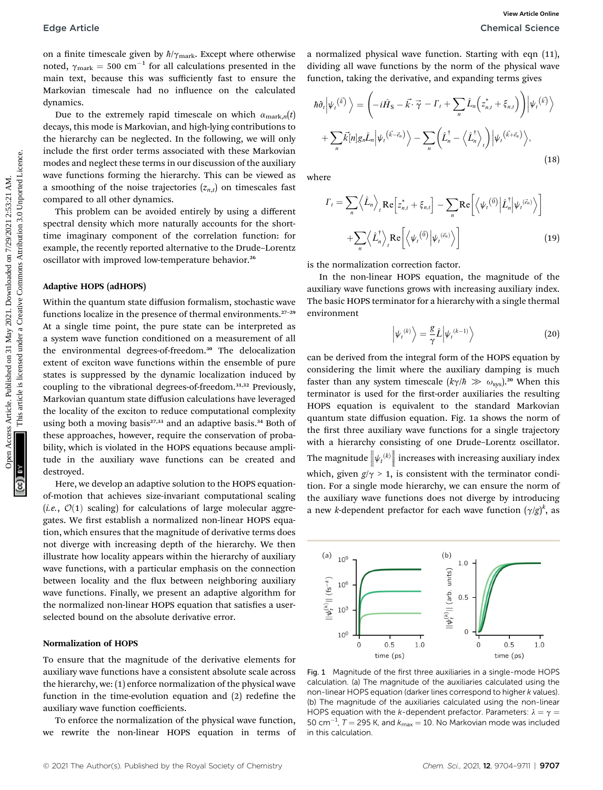on a finite timescale given by  $\hbar/\gamma_{\text{mark}}$ . Except where otherwise noted,  $\gamma_{\text{mark}} = 500 \text{ cm}^{-1}$  for all calculations presented in the main text, because this was sufficiently fast to ensure the main text, because this was sufficiently fast to ensure the Markovian timescale had no influence on the calculated dynamics.

Due to the extremely rapid timescale on which  $\alpha_{\text{mark},n}(t)$ decays, this mode is Markovian, and high-lying contributions to the hierarchy can be neglected. In the following, we will only include the first order terms associated with these Markovian modes and neglect these terms in our discussion of the auxiliary wave functions forming the hierarchy. This can be viewed as a smoothing of the noise trajectories  $(z_{n,t})$  on timescales fast compared to all other dynamics.

This problem can be avoided entirely by using a different spectral density which more naturally accounts for the shorttime imaginary component of the correlation function: for example, the recently reported alternative to the Drude–Lorentz oscillator with improved low-temperature behavior.<sup>26</sup>

#### Adaptive HOPS (adHOPS)

Within the quantum state diffusion formalism, stochastic wave functions localize in the presence of thermal environments.<sup>27-29</sup> At a single time point, the pure state can be interpreted as a system wave function conditioned on a measurement of all the environmental degrees-of-freedom.<sup>30</sup> The delocalization extent of exciton wave functions within the ensemble of pure states is suppressed by the dynamic localization induced by coupling to the vibrational degrees-of-freedom.31,32 Previously, Markovian quantum state diffusion calculations have leveraged the locality of the exciton to reduce computational complexity using both a moving basis $27,33$  and an adaptive basis.<sup>34</sup> Both of these approaches, however, require the conservation of probability, which is violated in the HOPS equations because amplitude in the auxiliary wave functions can be created and destroyed. Edge Article<br>
on a finite timescale plasma Resemble the distribution presented in the distribution of the distribution of the chycked were therefore by the term of the physical week of the common of the physical week base

Here, we develop an adaptive solution to the HOPS equationof-motion that achieves size-invariant computational scaling (*i.e.*,  $\mathcal{O}(1)$  scaling) for calculations of large molecular aggregates. We first establish a normalized non-linear HOPS equation, which ensures that the magnitude of derivative terms does not diverge with increasing depth of the hierarchy. We then illustrate how locality appears within the hierarchy of auxiliary wave functions, with a particular emphasis on the connection between locality and the flux between neighboring auxiliary wave functions. Finally, we present an adaptive algorithm for the normalized non-linear HOPS equation that satisfies a userselected bound on the absolute derivative error.

#### Normalization of HOPS

To ensure that the magnitude of the derivative elements for auxiliary wave functions have a consistent absolute scale across the hierarchy, we: (1) enforce normalization of the physical wave function in the time-evolution equation and  $(2)$  redefine the auxiliary wave function coefficients.

To enforce the normalization of the physical wave function, we rewrite the non-linear HOPS equation in terms of a normalized physical wave function. Starting with eqn (11), dividing all wave functions by the norm of the physical wave function, taking the derivative, and expanding terms gives

$$
\hbar \partial_t \Big| \psi_t^{(\vec{k})} \Big\rangle = \left( -i\hat{H}_S - \vec{k} \cdot \vec{\gamma} - \Gamma_t + \sum_n \hat{L}_n \Big( z_{n,t}^* + \xi_{n,t} \Big) \right) \Big| \psi_t^{(\vec{k})} \rangle + \sum_n \vec{k}[n] g_n \hat{L}_n \Big| \psi_t^{(\vec{k} - \vec{e}_n)} \Big\rangle - \sum_n \left( \hat{L}_n^{\dagger} - \left\langle \hat{L}_n^{\dagger} \right\rangle_t \right) \Big| \psi_t^{(\vec{k} + \vec{e}_n)} \Big\rangle,
$$
\n(18)

where

$$
\Gamma_{t} = \sum_{n} \left\langle \hat{L}_{n} \right\rangle_{t} \text{Re} \left[ z_{n,t}^{*} + \xi_{n,t} \right] - \sum_{n} \text{Re} \left[ \left\langle \psi_{t}^{(\vec{0})} \left| \hat{L}_{n}^{\dagger} \right| \psi_{t}^{(\vec{e}_{n})} \right\rangle \right] + \sum_{n} \left\langle \hat{L}_{n}^{\dagger} \right\rangle_{t} \text{Re} \left[ \left\langle \psi_{t}^{(\vec{0})} \left| \psi_{t}^{(\vec{e}_{n})} \right\rangle \right] \tag{19}
$$

is the normalization correction factor.

In the non-linear HOPS equation, the magnitude of the auxiliary wave functions grows with increasing auxiliary index. The basic HOPS terminator for a hierarchy with a single thermal environment

$$
\left|\psi_{t}^{(k)}\right\rangle = \frac{g}{\gamma} \hat{L} \left|\psi_{t}^{(k-1)}\right\rangle \tag{20}
$$

can be derived from the integral form of the HOPS equation by considering the limit where the auxiliary damping is much faster than any system timescale  $(k\gamma/\hbar \gg \omega_{\rm sys})^{20}$  When this terminator is used for the first-order auxiliaries the resulting HOPS equation is equivalent to the standard Markovian quantum state diffusion equation. Fig. 1a shows the norm of the first three auxiliary wave functions for a single trajectory with a hierarchy consisting of one Drude–Lorentz oscillator. The magnitude  $\Big|$  $\left\Vert \psi_{t}^{\left(k\right)}\right\Vert$  $\parallel$  increases with increasing auxiliary index which, given  $g/\gamma > 1$ , is consistent with the terminator condition. For a single mode hierarchy, we can ensure the norm of the auxiliary wave functions does not diverge by introducing a new *k*-dependent prefactor for each wave function  $(\gamma/g)^k$ , as



Fig. 1 Magnitude of the first three auxiliaries in a single-mode HOPS calculation. (a) The magnitude of the auxiliaries calculated using the non-linear HOPS equation (darker lines correspond to higher k values). (b) The magnitude of the auxiliaries calculated using the non-linear HOPS equation with the k-dependent prefactor. Parameters:  $\lambda = \gamma =$ 50 cm<sup>-1</sup>,  $T = 295$  K, and  $k_{\text{max}} = 10$ . No Markovian mode was included<br>in this calculation in this calculation.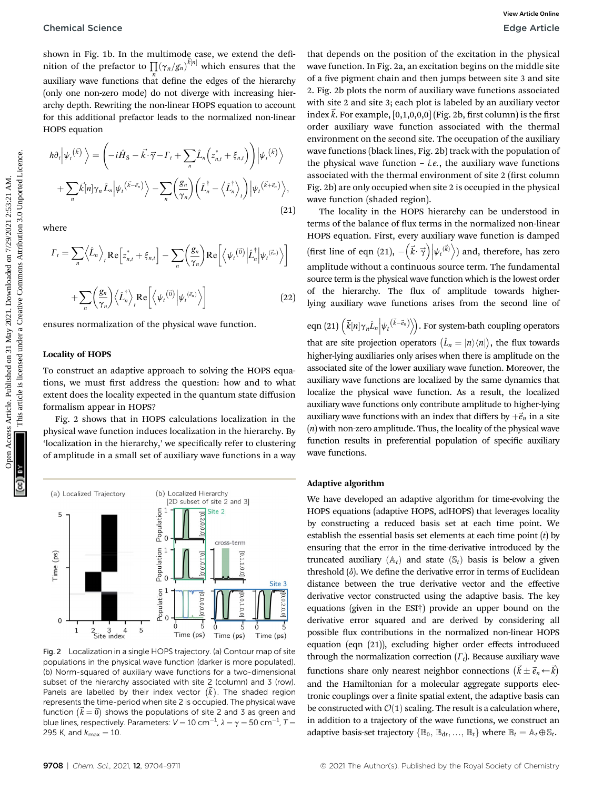shown in Fig. 1b. In the multimode case, we extend the definition of the prefactor to  $\prod_{n} (\gamma_n/g_n)^{\vec{k}[n]}$  which ensures that the auxiliary wave functions that define the edges of the hierarchy (only one non-zero mode) do not diverge with increasing hierarchy depth. Rewriting the non-linear HOPS equation to account for this additional prefactor leads to the normalized non-linear HOPS equation

$$
\hbar \partial_t \Big| \psi_t^{(\vec{k})} \Big\rangle = \left( -i\hat{H}_S - \vec{k} \cdot \vec{\gamma} - \Gamma_t + \sum_n \hat{L}_n \Big( z_{n,t}^* + \xi_{n,t} \Big) \right) \Big| \psi_t^{(\vec{k})} \Big\rangle + \sum_n \vec{k}[n] \gamma_n \hat{L}_n \Big| \psi_t^{(\vec{k}-\vec{e}_n)} \Big\rangle - \sum_n \left( \frac{g_n}{\gamma_n} \right) \left( \hat{L}_n^{\dagger} - \left\langle \hat{L}_n^{\dagger} \right\rangle_t \right) \Big| \psi_t^{(\vec{k}+\vec{e}_n)} \Big\rangle,
$$
\n(21)

where

$$
\Gamma_{t} = \sum_{n} \left\langle \hat{L}_{n} \right\rangle_{t} \text{Re} \left[ z_{n,t}^{*} + \xi_{n,t} \right] - \sum_{n} \left( \frac{g_{n}}{\gamma_{n}} \right) \text{Re} \left[ \left\langle \psi_{t}^{(\vec{0})} \middle| \hat{L}_{n}^{\dagger} \middle| \psi_{t}^{(\vec{e}_{n})} \right\rangle \right]
$$

$$
+ \sum_{n} \left( \frac{g_{n}}{\gamma_{n}} \right) \left\langle \hat{L}_{n}^{\dagger} \right\rangle_{t} \text{Re} \left[ \left\langle \psi_{t}^{(\vec{0})} \middle| \psi_{t}^{(\vec{e}_{n})} \right\rangle \right]
$$
(22)

ensures normalization of the physical wave function.

#### Locality of HOPS

To construct an adaptive approach to solving the HOPS equations, we must first address the question: how and to what extent does the locality expected in the quantum state diffusion formalism appear in HOPS?

Fig. 2 shows that in HOPS calculations localization in the physical wave function induces localization in the hierarchy. By 'localization in the hierarchy,' we specifically refer to clustering of amplitude in a small set of auxiliary wave functions in a way



Fig. 2 Localization in a single HOPS trajectory. (a) Contour map of site populations in the physical wave function (darker is more populated). (b) Norm-squared of auxiliary wave functions for a two-dimensional subset of the hierarchy associated with site 2 (column) and 3 (row). Panels are labelled by their index vector  $(\vec{k})$ . The shaded region represents the time-period when site 2 is occupied. The physical wave function  $(\vec{k} = \vec{0})$  shows the populations of site 2 and 3 as green and<br>blue lines respectively. Parameters:  $V = 10 \text{ cm}^{-1}$ ,  $1 - \gamma = 50 \text{ cm}^{-1}$ ,  $T =$ blue lines, respectively. Parameters:  $V = 10 \text{ cm}^{-1}$ ,  $\lambda = \gamma = 50 \text{ cm}^{-1}$ ,  $T = 295 \text{ K}$ , and  $k = -10$ 295 K, and  $k_{\text{max}} = 10$ .

that depends on the position of the excitation in the physical wave function. In Fig. 2a, an excitation begins on the middle site of a five pigment chain and then jumps between site 3 and site 2. Fig. 2b plots the norm of auxiliary wave functions associated with site 2 and site 3; each plot is labeled by an auxiliary vector index  $\vec{k}$ . For example, [0,1,0,0,0] (Fig. 2b, first column) is the first order auxiliary wave function associated with the thermal environment on the second site. The occupation of the auxiliary wave functions (black lines, Fig. 2b) track with the population of the physical wave function  $-$  *i.e.*, the auxiliary wave functions associated with the thermal environment of site 2 (first column Fig. 2b) are only occupied when site 2 is occupied in the physical wave function (shaded region). Chemical Science States Article on Trig. 1b, the multimade case, we extend the definite indet of the president on the protection of the president of the protection of the science of the theoretical component on the common

The locality in the HOPS hierarchy can be understood in terms of the balance of flux terms in the normalized non-linear HOPS equation. First, every auxiliary wave function is damped (first line of eqn (21),  $-\left(\vec{k}\cdot\vec{\gamma}\right)\middle|\psi_t^{(\vec{k})}\rangle$ ) and, therefore, has zero amplitude without a continuous source term. The fundamental source term is the physical wave function which is the lowest order of the hierarchy. The flux of amplitude towards higherlying auxiliary wave functions arises from the second line of

eqn (21)  $\left(\vec{k}[n]\gamma_n\hat{L}_n\middle|\psi_t^{\left(\vec{k}-\vec{e}_n\right)}\right)$ . For system-bath coupling operators that are site projection operators  $(\hat{L}_n = |n\rangle\langle n|)$ , the flux towards higher-lying auxiliaries only arises when there is amplitude on the associated site of the lower auxiliary wave function. Moreover, the auxiliary wave functions are localized by the same dynamics that localize the physical wave function. As a result, the localized auxiliary wave functions only contribute amplitude to higher-lying auxiliary wave functions with an index that differs by  $+\vec{e}_n$  in a site (n) with non-zero amplitude. Thus, the locality of the physical wave function results in preferential population of specific auxiliary wave functions.

#### Adaptive algorithm

We have developed an adaptive algorithm for time-evolving the HOPS equations (adaptive HOPS, adHOPS) that leverages locality by constructing a reduced basis set at each time point. We establish the essential basis set elements at each time point  $(t)$  by ensuring that the error in the time-derivative introduced by the truncated auxiliary  $(A_t)$  and state  $(S_t)$  basis is below a given threshold  $(\delta)$ . We define the derivative error in terms of Euclidean distance between the true derivative vector and the effective derivative vector constructed using the adaptive basis. The key equations (given in the ESI†) provide an upper bound on the derivative error squared and are derived by considering all possible flux contributions in the normalized non-linear HOPS equation (eqn (21)), excluding higher order effects introduced through the normalization correction  $(T_t)$ . Because auxiliary wave functions share only nearest neighbor connections  $(\vec{k} \pm \vec{e}_n \leftarrow \vec{k})$ and the Hamiltonian for a molecular aggregate supports electronic couplings over a finite spatial extent, the adaptive basis can be constructed with  $\mathcal{O}(1)$  scaling. The result is a calculation where, in addition to a trajectory of the wave functions, we construct an adaptive basis-set trajectory  $\{\mathbb{B}_0, \mathbb{B}_{dt}, ..., \mathbb{B}_t\}$  where  $\mathbb{B}_t = \mathbb{A}_t \oplus \mathbb{S}_t$ .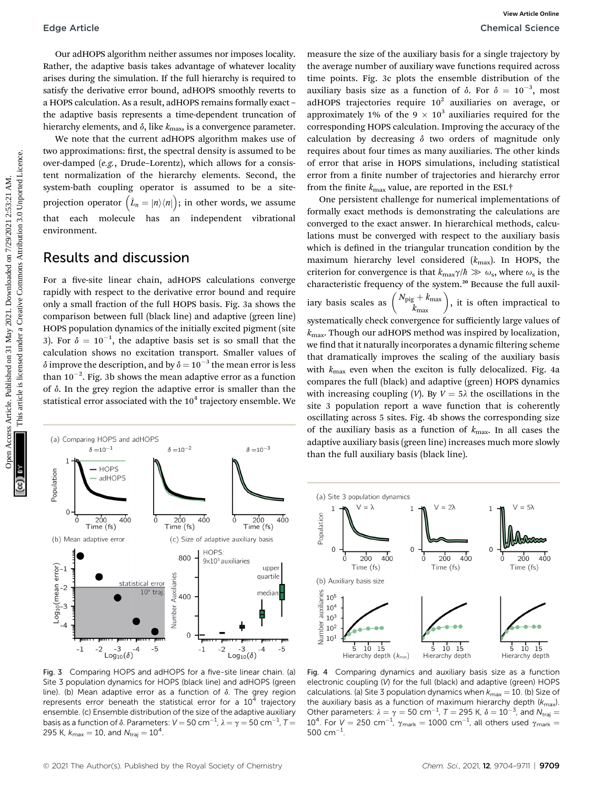Our adHOPS algorithm neither assumes nor imposes locality. Rather, the adaptive basis takes advantage of whatever locality arises during the simulation. If the full hierarchy is required to satisfy the derivative error bound, adHOPS smoothly reverts to a HOPS calculation. As a result, adHOPS remains formally exact – the adaptive basis represents a time-dependent truncation of hierarchy elements, and  $\delta$ , like  $k_{\text{max}}$ , is a convergence parameter.

We note that the current adHOPS algorithm makes use of two approximations: first, the spectral density is assumed to be over-damped (e.g., Drude–Lorentz), which allows for a consistent normalization of the hierarchy elements. Second, the system-bath coupling operator is assumed to be a siteprojection operator  $(\hat{L}_n = |n\rangle\langle n|)$ ; in other words, we assume that each molecule has an independent vibrational environment.

### Results and discussion

For a five-site linear chain, adHOPS calculations converge rapidly with respect to the derivative error bound and require only a small fraction of the full HOPS basis. Fig. 3a shows the comparison between full (black line) and adaptive (green line) HOPS population dynamics of the initially excited pigment (site 3). For  $\delta = 10^{-1}$ , the adaptive basis set is so small that the coloulation chows no evolution transport. Smaller values of calculation shows no excitation transport. Smaller values of  $\delta$  improve the description, and by  $\delta = 10^{-3}$  the mean error is less<br>than  $10^{-2}$ . Fig. 2b shows the mean edentive error as a function than 10 $^{-2}$ . Fig. 3b shows the mean adaptive error as a function of  $\delta$ . In the grey region the adaptive error is smaller than the statistical error associated with the  $10<sup>4</sup>$  trajectory ensemble. We



Fig. 3 Comparing HOPS and adHOPS for a five-site linear chain. (a) Site 3 population dynamics for HOPS (black line) and adHOPS (green line). (b) Mean adaptive error as a function of  $\delta$ . The grey region represents error beneath the statistical error for a  $10<sup>4</sup>$  trajectory ensemble. (c) Ensemble distribution of the size of the adaptive auxiliary basis as a function of  $\delta$ . Parameters:  $V = 50 \text{ cm}^{-1}$ ,  $\lambda = \gamma = 50 \text{ cm}^{-1}$ ,  $T =$ <br>205 K  $V = -10$ , and  $N = -10^4$ 295 K,  $k_{\text{max}} = 10$ , and  $N_{\text{traj}} = 10^4$ .

measure the size of the auxiliary basis for a single trajectory by the average number of auxiliary wave functions required across time points. Fig. 3c plots the ensemble distribution of the auxiliary basis size as a function of  $\delta$ . For  $\delta = 10^{-3}$ , most<br>adHOPS trajectories require  $10^2$  auxiliaries on average of adHOPS trajectories require  $10^2$  auxiliaries on average, or approximately 1% of the 9  $\times$  10<sup>3</sup> auxiliaries required for the corresponding HOPS calculation. Improving the accuracy of the calculation by decreasing  $\delta$  two orders of magnitude only requires about four times as many auxiliaries. The other kinds of error that arise in HOPS simulations, including statistical error from a finite number of trajectories and hierarchy error from the finite  $k_{\text{max}}$  value, are reported in the ESI.<sup>†</sup>

One persistent challenge for numerical implementations of formally exact methods is demonstrating the calculations are converged to the exact answer. In hierarchical methods, calculations must be converged with respect to the auxiliary basis which is defined in the triangular truncation condition by the maximum hierarchy level considered  $(k_{\text{max}})$ . In HOPS, the criterion for convergence is that  $k_{\text{max}}\gamma/\hbar \gg \omega_{\text{s}}$ , where  $\omega_{\text{s}}$  is the characteristic frequency of the system.<sup>20</sup> Because the full auxiliary basis scales as  $\binom{N_{\text{pig}}+k_{\text{max}}}{k_{\text{max}}}$ , it is often impractical to systematically check convergence for sufficiently large values of  $k_{\text{max}}$ . Though our adHOPS method was inspired by localization, we find that it naturally incorporates a dynamic filtering scheme that dramatically improves the scaling of the auxiliary basis with  $k_{\text{max}}$  even when the exciton is fully delocalized. Fig. 4a compares the full (black) and adaptive (green) HOPS dynamics with increasing coupling (V). By  $V = 5\lambda$  the oscillations in the site 3 population report a wave function that is coherently oscillating across 5 sites. Fig. 4b shows the corresponding size of the auxiliary basis as a function of  $k_{\text{max}}$ . In all cases the adaptive auxiliary basis (green line) increases much more slowly than the full auxiliary basis (black line). Edge Article<br>
Chemical Science<br>
Our additions algorithmosiule assumed to function and the same of white comparison of the same of ancientary by the same of articles. The articles are the commons are the commons are the co



Fig. 4 Comparing dynamics and auxiliary basis size as a function electronic coupling (V) for the full (black) and adaptive (green) HOPS calculations. (a) Site 3 population dynamics when  $k_{\text{max}} = 10$ . (b) Size of the auxiliary basis as a function of maximum hierarchy depth  $(k_{\text{max}})$ . Other parameters:  $\lambda = \gamma = 50 \text{ cm}^{-1}$ ,  $T = 295 \text{ K}$ ,  $\delta = 10^{-3}$ , and  $N_{\text{traj}} = 10^{4}$ . For  $N = 250 \text{ cm}^{-1}$ ,  $\alpha_{\text{tot}} = 1000 \text{ cm}^{-1}$ , all others used  $\alpha_{\text{tot}} =$ 10<sup>4</sup>. For  $V = 250 \text{ cm}^{-1}$ ,  $\gamma_{\text{mark}} = 1000 \text{ cm}^{-1}$ , all others used  $\gamma_{\text{mark}} = 500 \text{ cm}^{-1}$  $500 \text{ cm}^{-1}$ .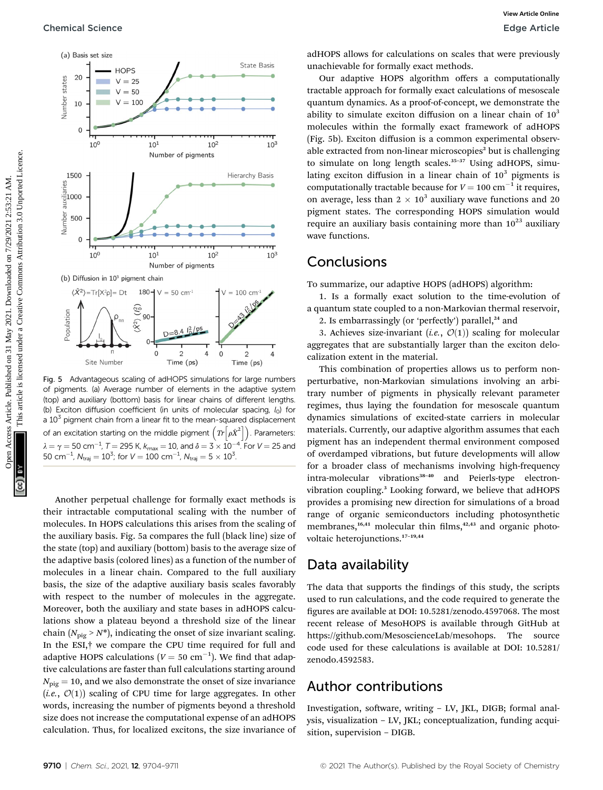

Fig. 5 Advantageous scaling of adHOPS simulations for large numbers of pigments. (a) Average number of elements in the adaptive system (top) and auxiliary (bottom) basis for linear chains of different lengths. (b) Exciton diffusion coefficient (in units of molecular spacing,  $l_0$ ) for a  $10<sup>3</sup>$  pigment chain from a linear fit to the mean-squared displacement of an excitation starting on the middle pigment  $\left(Tr\left[ \rho \hat{X}^{2}\right] \right)$ . Parameters:  $\lambda = \gamma = 50 \text{ cm}^{-1}$ ,  $T = 295 \text{ K}$ ,  $k_{\text{max}} = 10$ , and  $\delta = 3 \times 10^{-4}$ . For  $V = 25$  and  $50 \text{ cm}^{-1}$ ,  $N_{\text{max}} = 100 \text{ cm}^{-1}$ ,  $N_{\text{max}} = 5 \times 10^3$  $50 \text{ cm}^{-1}$ ,  $N_{\text{traj}} = 10^3$ ; for  $V = 100 \text{ cm}^{-1}$ ,  $N_{\text{traj}} = 5 \times 10^3$ .

Another perpetual challenge for formally exact methods is their intractable computational scaling with the number of molecules. In HOPS calculations this arises from the scaling of the auxiliary basis. Fig. 5a compares the full (black line) size of the state (top) and auxiliary (bottom) basis to the average size of the adaptive basis (colored lines) as a function of the number of molecules in a linear chain. Compared to the full auxiliary basis, the size of the adaptive auxiliary basis scales favorably with respect to the number of molecules in the aggregate. Moreover, both the auxiliary and state bases in adHOPS calculations show a plateau beyond a threshold size of the linear chain ( $N_{\text{pig}} > N^*$ ), indicating the onset of size invariant scaling. In the ESI,† we compare the CPU time required for full and adaptive HOPS calculations  $(V = 50 \text{ cm}^{-1})$ . We find that adaptive applying a regulations are faster than full calculations starting around tive calculations are faster than full calculations starting around  $N_{\text{pie}} = 10$ , and we also demonstrate the onset of size invariance (i.e.,  $\mathcal{O}(1)$ ) scaling of CPU time for large aggregates. In other words, increasing the number of pigments beyond a threshold size does not increase the computational expense of an adHOPS calculation. Thus, for localized excitons, the size invariance of adHOPS allows for calculations on scales that were previously unachievable for formally exact methods.

Our adaptive HOPS algorithm offers a computationally tractable approach for formally exact calculations of mesoscale quantum dynamics. As a proof-of-concept, we demonstrate the ability to simulate exciton diffusion on a linear chain of  $10<sup>3</sup>$ molecules within the formally exact framework of adHOPS (Fig. 5b). Exciton diffusion is a common experimental observable extracted from non-linear microscopies<sup>2</sup> but is challenging to simulate on long length scales. $35-37$  Using adHOPS, simulating exciton diffusion in a linear chain of  $10<sup>3</sup>$  pigments is computationally tractable because for  $V = 100 \text{ cm}^{-1}$  it requires,<br>on average, less than  $2 \times 10^3$  auxiliary wave functions and 20 on average, less than  $2 \times 10^3$  auxiliary wave functions and 20 pigment states. The corresponding HOPS simulation would require an auxiliary basis containing more than  $10^{23}$  auxiliary wave functions.

### **Conclusions**

To summarize, our adaptive HOPS (adHOPS) algorithm:

1. Is a formally exact solution to the time-evolution of a quantum state coupled to a non-Markovian thermal reservoir, 2. Is embarrassingly (or 'perfectly') parallel, $24$  and

3. Achieves size-invariant (i.e.,  $\mathcal{O}(1)$ ) scaling for molecular aggregates that are substantially larger than the exciton delocalization extent in the material.

This combination of properties allows us to perform nonperturbative, non-Markovian simulations involving an arbitrary number of pigments in physically relevant parameter regimes, thus laying the foundation for mesoscale quantum dynamics simulations of excited-state carriers in molecular materials. Currently, our adaptive algorithm assumes that each pigment has an independent thermal environment composed of overdamped vibrations, but future developments will allow for a broader class of mechanisms involving high-frequency intra-molecular vibrations<sup>38-40</sup> and Peierls-type electronvibration coupling.<sup>3</sup> Looking forward, we believe that adHOPS provides a promising new direction for simulations of a broad range of organic semiconductors including photosynthetic membranes,<sup>16,41</sup> molecular thin films,<sup>42,43</sup> and organic photovoltaic heterojunctions.<sup>17</sup>–19,44

### Data availability

The data that supports the findings of this study, the scripts used to run calculations, and the code required to generate the gures are available at DOI: 10.5281/zenodo.4597068. The most recent release of MesoHOPS is available through GitHub at https://github.com/MesoscienceLab/mesohops. The source code used for these calculations is available at DOI: 10.5281/ zenodo.4592583.

### Author contributions

Investigation, software, writing - LV, JKL, DIGB; formal analysis, visualization – LV, JKL; conceptualization, funding acquisition, supervision – DIGB.